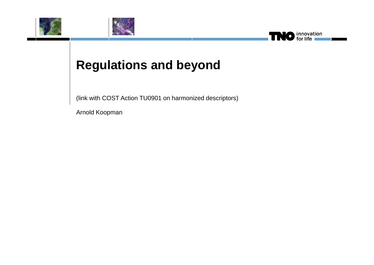



# **Regulations and beyond**

(link with COST Action TU0901 on harmonized descriptors)

finnovation<br>for life

Arnold Koopman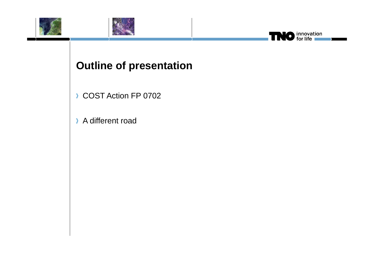



# **Outline of presentation**

innovation<br>for life

Т

 $\bullet$ 

- COST Action FP 0702
- A different road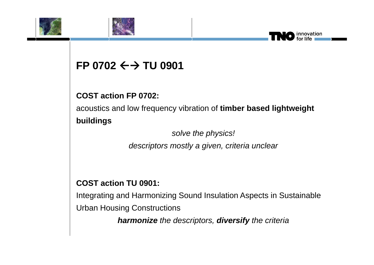



#### **FP 0702 TU 0901**

#### **COST action FP 0702:**

acoustics and low frequency vibration of **timber based lightweight buildings**

> *solve the physics! descriptors mostly a given, criteria unclear*

innovation

#### **COST action TU 0901:**

Integrating and Harmonizing Sound Insulation Aspects in Sustainable Urban Housing Constructions

*harmonize the descriptors, diversify the criteria*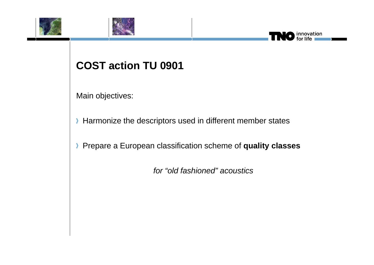



#### innovation

### **COST action TU 0901**

Main objectives:

Harmonize the descriptors used in different member states

Prepare a European classification scheme of **quality classes**

*for "old fashioned" acoustics*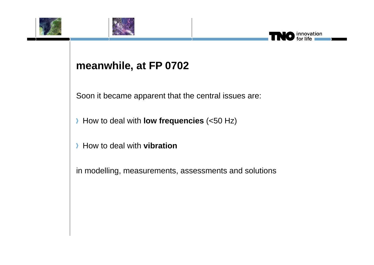



#### **meanwhile, at FP 0702**

Soon it became apparent that the central issues are:

innovation

How to deal with **low frequencies** (<50 Hz)

How to deal with **vibration**

in modelling, measurements, assessments and solutions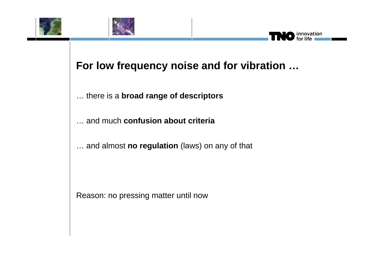



#### innovation

#### **For low frequency noise and for vibration …**

… there is a **broad range of descriptors**

… and much **confusion about criteria**

… and almost **no regulation** (laws) on any of that

Reason: no pressing matter until now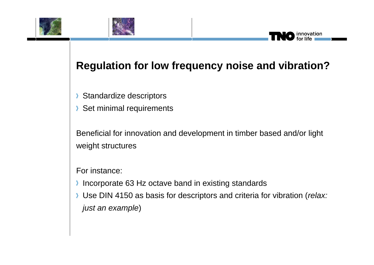



## **Regulation for low frequency noise and vibration?**

innovation

- Standardize descriptors Σ
- Set minimal requirements Σ

Beneficial for innovation and development in timber based and/or light weight structures

For instance:

- Incorporate 63 Hz octave band in existing standards
- Use DIN 4150 as basis for descriptors and criteria for vibration (*relax: just an example*)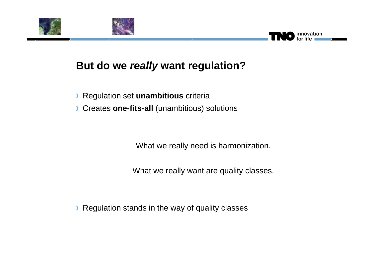



#### **But do we** *really* **want regulation?**

Regulation set **unambitious** criteria Σ

Creates **one-fits-all** (unambitious) solutions

What we really need is harmonization.

innovation

What we really want are quality classes.

Regulation stands in the way of quality classesΣ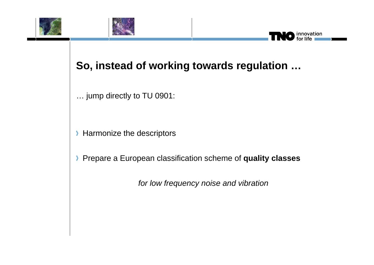



#### **So, instead of working towards regulation …**

innovation

… jump directly to TU 0901:

Harmonize the descriptors

Pre p p are a Euro pean classification scheme of **q y ualit y classes**

*for low frequency noise and vibration*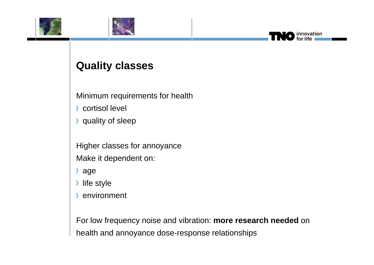



#### innovation<br>for life

#### **Quality classes**

Minimum requirements for health

- cortisol level
- quality of sleep

Higher classes for annoyance Make it dependent on:

- age
- life style
- environment

For low frequency noise and vibration: more research needed on health and annoyance dose-response relationships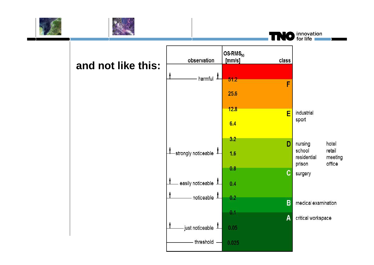



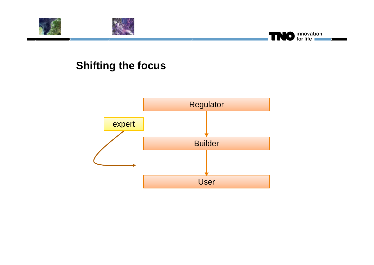

### **Shifting the focus**

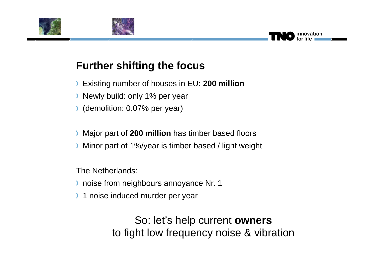



### **Further shifting the focus**

- Existing number of houses in EU: **200 million**
- **Newly build: only 1% per year**
- (demolition: 0.07% per year)
- Major part of **200 million** has timber based floors
- Minor part of 1%/year is timber based / light weight

The Netherlands:

- **habilish** noise from neighbours annoyance Nr. 1
- 1 noise induced murder per yea r

So: let's help current **owners** to fight low frequency noise & vibration novation